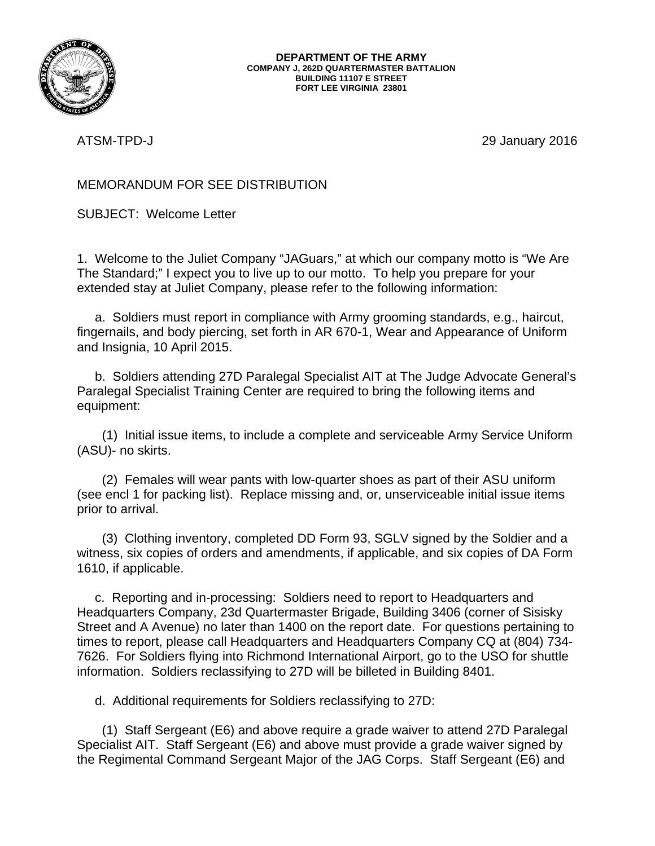

ATSM-TPD-J 29 January 2016

## MEMORANDUM FOR SEE DISTRIBUTION

SUBJECT: Welcome Letter

1. Welcome to the Juliet Company "JAGuars," at which our company motto is "We Are The Standard;" I expect you to live up to our motto. To help you prepare for your extended stay at Juliet Company, please refer to the following information:

 a. Soldiers must report in compliance with Army grooming standards, e.g., haircut, fingernails, and body piercing, set forth in AR 670-1, Wear and Appearance of Uniform and Insignia, 10 April 2015.

 b. Soldiers attending 27D Paralegal Specialist AIT at The Judge Advocate General's Paralegal Specialist Training Center are required to bring the following items and equipment:

 (1) Initial issue items, to include a complete and serviceable Army Service Uniform (ASU)- no skirts.

 (2) Females will wear pants with low-quarter shoes as part of their ASU uniform (see encl 1 for packing list). Replace missing and, or, unserviceable initial issue items prior to arrival.

 (3) Clothing inventory, completed DD Form 93, SGLV signed by the Soldier and a witness, six copies of orders and amendments, if applicable, and six copies of DA Form 1610, if applicable.

 c. Reporting and in-processing: Soldiers need to report to Headquarters and Headquarters Company, 23d Quartermaster Brigade, Building 3406 (corner of Sisisky Street and A Avenue) no later than 1400 on the report date. For questions pertaining to times to report, please call Headquarters and Headquarters Company CQ at (804) 734- 7626. For Soldiers flying into Richmond International Airport, go to the USO for shuttle information. Soldiers reclassifying to 27D will be billeted in Building 8401.

d. Additional requirements for Soldiers reclassifying to 27D:

 (1) Staff Sergeant (E6) and above require a grade waiver to attend 27D Paralegal Specialist AIT. Staff Sergeant (E6) and above must provide a grade waiver signed by the Regimental Command Sergeant Major of the JAG Corps. Staff Sergeant (E6) and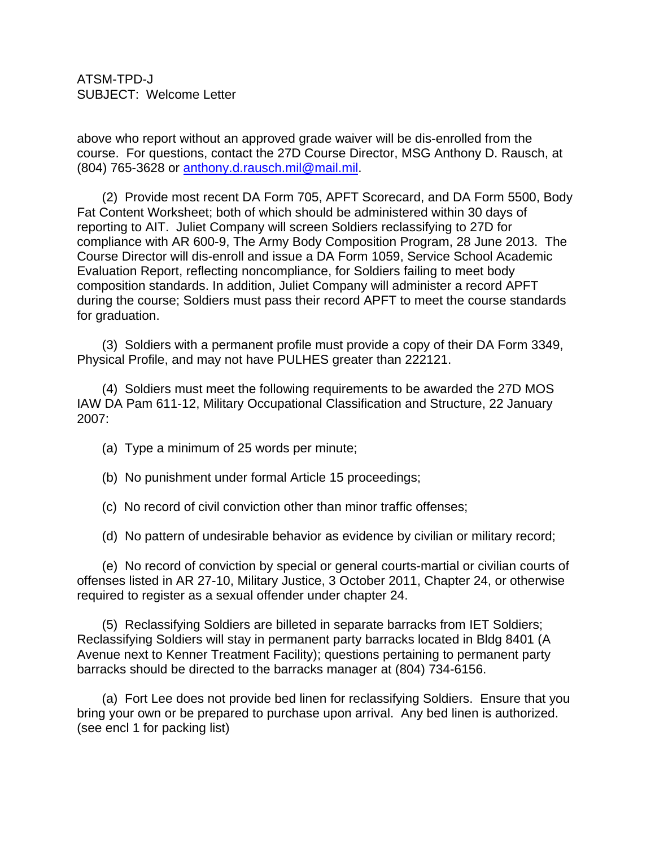ATSM-TPD-J SUBJECT: Welcome Letter

above who report without an approved grade waiver will be dis-enrolled from the course. For questions, contact the 27D Course Director, MSG Anthony D. Rausch, at (804) 765-3628 or [anthony.d.rausch.mil@mail.mil.](mailto:anthony.d.rausch.mil@mail.mil)

 (2) Provide most recent DA Form 705, APFT Scorecard, and DA Form 5500, Body Fat Content Worksheet; both of which should be administered within 30 days of reporting to AIT. Juliet Company will screen Soldiers reclassifying to 27D for compliance with AR 600-9, The Army Body Composition Program, 28 June 2013. The Course Director will dis-enroll and issue a DA Form 1059, Service School Academic Evaluation Report, reflecting noncompliance, for Soldiers failing to meet body composition standards. In addition, Juliet Company will administer a record APFT during the course; Soldiers must pass their record APFT to meet the course standards for graduation.

 (3) Soldiers with a permanent profile must provide a copy of their DA Form 3349, Physical Profile, and may not have PULHES greater than 222121.

 (4) Soldiers must meet the following requirements to be awarded the 27D MOS IAW DA Pam 611-12, Military Occupational Classification and Structure, 22 January 2007:

- (a) Type a minimum of 25 words per minute;
- (b) No punishment under formal Article 15 proceedings;
- (c) No record of civil conviction other than minor traffic offenses;

(d) No pattern of undesirable behavior as evidence by civilian or military record;

 (e) No record of conviction by special or general courts-martial or civilian courts of offenses listed in AR 27-10, Military Justice, 3 October 2011, Chapter 24, or otherwise required to register as a sexual offender under chapter 24.

 (5) Reclassifying Soldiers are billeted in separate barracks from IET Soldiers; Reclassifying Soldiers will stay in permanent party barracks located in Bldg 8401 (A Avenue next to Kenner Treatment Facility); questions pertaining to permanent party barracks should be directed to the barracks manager at (804) 734-6156.

 (a) Fort Lee does not provide bed linen for reclassifying Soldiers. Ensure that you bring your own or be prepared to purchase upon arrival. Any bed linen is authorized. (see encl 1 for packing list)